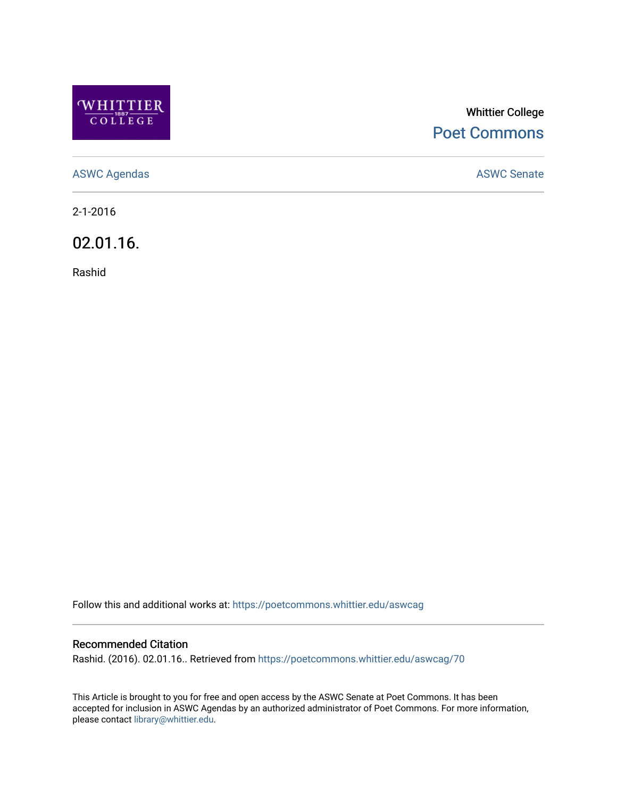

## Whittier College [Poet Commons](https://poetcommons.whittier.edu/)

[ASWC Agendas](https://poetcommons.whittier.edu/aswcag) **ASWC Senate** 

2-1-2016

02.01.16.

Rashid

Follow this and additional works at: [https://poetcommons.whittier.edu/aswcag](https://poetcommons.whittier.edu/aswcag?utm_source=poetcommons.whittier.edu%2Faswcag%2F70&utm_medium=PDF&utm_campaign=PDFCoverPages) 

## Recommended Citation

Rashid. (2016). 02.01.16.. Retrieved from [https://poetcommons.whittier.edu/aswcag/70](https://poetcommons.whittier.edu/aswcag/70?utm_source=poetcommons.whittier.edu%2Faswcag%2F70&utm_medium=PDF&utm_campaign=PDFCoverPages)

This Article is brought to you for free and open access by the ASWC Senate at Poet Commons. It has been accepted for inclusion in ASWC Agendas by an authorized administrator of Poet Commons. For more information, please contact [library@whittier.edu](mailto:library@whittier.edu).